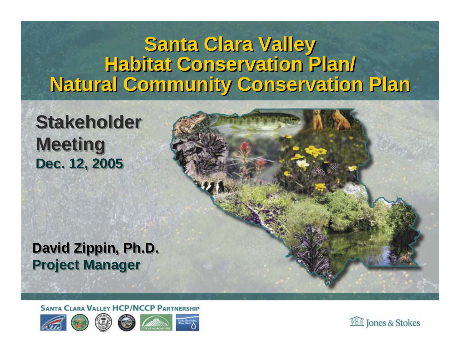#### **Santa Clara Valley Santa Clara Valley Habitat Conservation Plan/ Habitat Conservation Plan/ Natural Community Conservation Plan Natural Community Conservation Plan**

**Stakeholder Stakeholder Meeting Meeting Dec. 12, 2005 Dec. 12, 2005**

#### **David Zippin, Ph.D. David Zippin, Ph.D. Project Manager Project Manager**

**SANTA CLARA VALLEY HCP/NCCP PARTNERSHIP** 



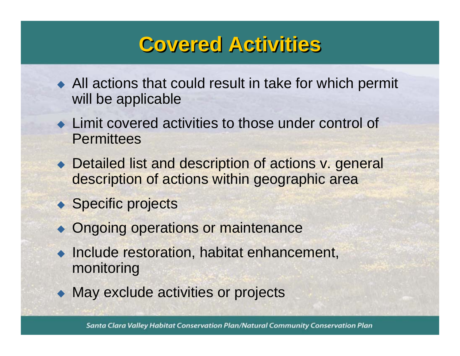# **Covered Activities Covered Activities**

- ◆ All actions that could result in take for which permit will be applicable
- Limit covered activities to those under control of **Permittees**
- ◆ Detailed list and description of actions v. general description of actions within geographic area
- ◆ Specific projects
- $\blacklozenge$ Ongoing operations or maintenance
- $\bullet$  Include restoration, habitat enhancement, monitoring
- ◆ May exclude activities or projects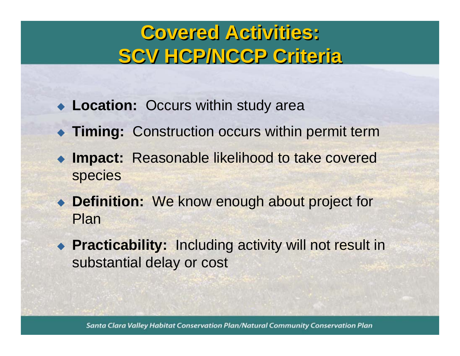#### **Covered Activities: Covered Activities: SCV HCP/NCCP Criteria SCV HCP/NCCP Criteria**

- **Location:** Occurs within study area
- **Timing:** Construction occurs within permit term
- ◆ Impact: Reasonable likelihood to take covered species
- ◆ **Definition:** We know enough about project for Plan
- ◆ **Practicability: Including activity will not result in** substantial delay or cost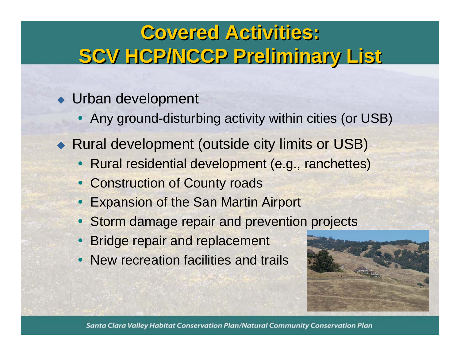## **Covered Activities: Covered Activities: SCV HCP/NCCP Preliminary List SCV HCP/NCCP Preliminary List**

#### ◆ Urban development

- $\bullet$ Any ground-disturbing activity within cities (or USB)
- ◆ Rural development (outside city limits or USB)
	- Rural residential development (e.g., ranchettes)
	- Construction of County roads
	- $\bullet$ Expansion of the San Martin Airport
	- Storm damage repair and prevention projects
	- Bridge repair and replacement
	- New recreation facilities and trails

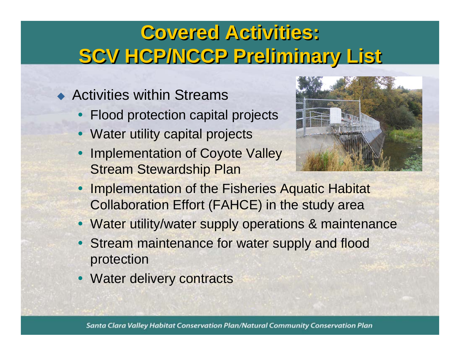# **Covered Activities: Covered Activities: SCV HCP/NCCP Preliminary List SCV HCP/NCCP Preliminary List**

- ◆ Activities within Streams
	- $\bullet$ Flood protection capital projects
	- Water utility capital projects
	- $\bullet$  Implementation of Coyote Valley Stream Stewardship Plan



- Implementation of the Fisheries Aquatic Habitat Collaboration Effort (FAHCE) in the study area
- Water utility/water supply operations & maintenance
- Stream maintenance for water supply and flood protection
- Water delivery contracts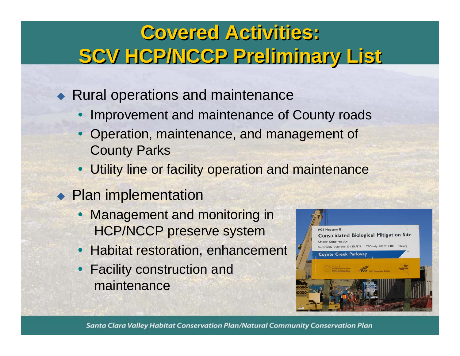# **Covered Activities: Covered Activities: SCV HCP/NCCP Preliminary List SCV HCP/NCCP Preliminary List**

◆ Rural operations and maintenance

- $\bullet$ Improvement and maintenance of County roads
- $\bullet$  Operation, maintenance, and management of County Parks
- Utility line or facility operation and maintenance
- Plan implementation
	- Management and monitoring in HCP/NCCP preserve system
	- Habitat restoration, enhancement
	- Facility construction and maintenance

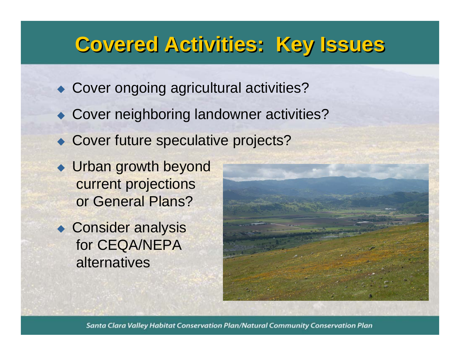# **Covered Activities: Key Issues Covered Activities: Key Issues**

- ◆ Cover ongoing agricultural activities?
- ◆ Cover neighboring landowner activities?
- ◆ Cover future speculative projects?
- ◆ Urban growth beyond current projections or General Plans?
- ◆ Consider analysis for CEQA/NEPA alternatives

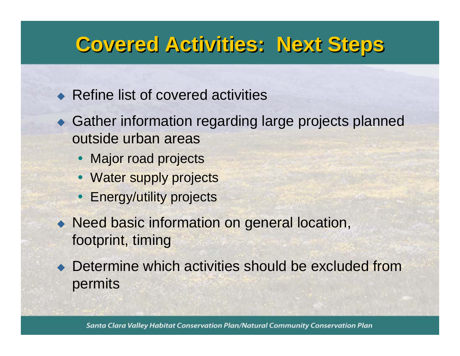# **Covered Activities: Next Steps Covered Activities: Next Steps**

- ◆ Refine list of covered activities
- ◆ Gather information regarding large projects planned outside urban areas
	- Major road projects
	- Water supply projects
	- Energy/utility projects
- Need basic information on general location, footprint, timing
- Determine which activities should be excluded from permits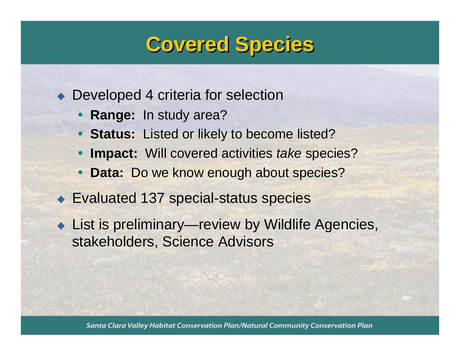#### ◆ Developed 4 criteria for selection

- $\bullet$ **Range:** In study area?
- **Status:** Listed or likely to become listed?
- $\bullet$ **Impact:** Will covered activities *take* species?
- **Data: Do we know enough about species?**
- ◆ Evaluated 137 special-status species
- ◆ List is preliminary—review by Wildlife Agencies, stakeholders, Science Advisors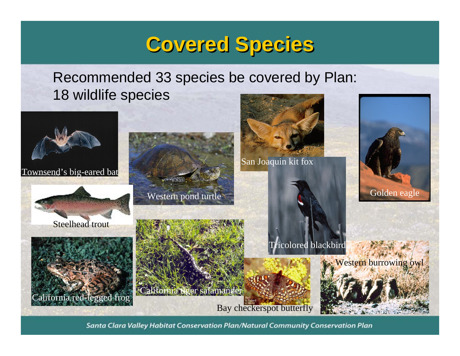#### Recommended 33 species be covered by Plan: 18 wildlife species

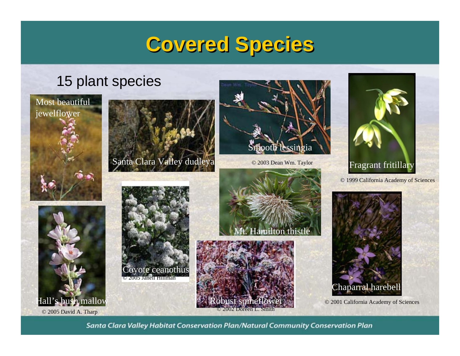#### 15 plant species









© 2003 Dean W m. Taylor



© 1999 California Academ y of Sciences







© 2 0 01 California Academy of Sciences

Santa Clara Valley Habitat Conservation Plan/Natural Community Conservation Plan

© 2002 Doreen L. Smith

Robust spineflower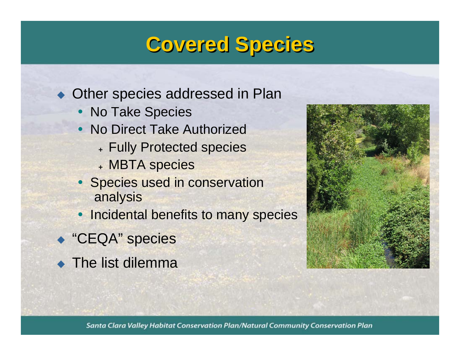- ◆ Other species addressed in Plan
	- No Take Species
	- No Direct Take Authorized
		- ¬ Fully Protected species
		- + MBTA species
	- Species used in conservation analysis
	- Incidental benefits to many species
- ◆ "CEQA" species
- The list dilemma